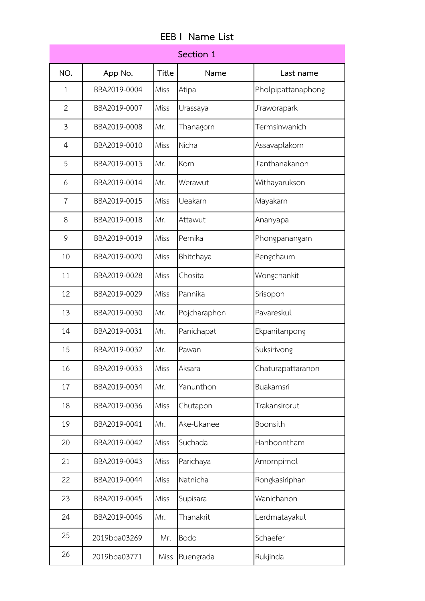| Section 1        |              |              |              |                    |  |
|------------------|--------------|--------------|--------------|--------------------|--|
| NO.              | App No.      | <b>Title</b> | Name         | Last name          |  |
| $\mathbf{1}$     | BBA2019-0004 | Miss         | Atipa        | Pholpipattanaphong |  |
| 2                | BBA2019-0007 | Miss         | Urassaya     | Jiraworapark       |  |
| 3                | BBA2019-0008 | Mr.          | Thanagorn    | Termsinwanich      |  |
| $\boldsymbol{4}$ | BBA2019-0010 | Miss         | Nicha        | Assavaplakorn      |  |
| 5                | BBA2019-0013 | Mr.          | Korn         | Jianthanakanon     |  |
| 6                | BBA2019-0014 | Mr.          | Werawut      | Withayarukson      |  |
| 7                | BBA2019-0015 | Miss         | Ueakarn      | Mayakarn           |  |
| 8                | BBA2019-0018 | Mr.          | Attawut      | Ananyapa           |  |
| 9                | BBA2019-0019 | Miss         | Pemika       | Phongpanangam      |  |
| 10               | BBA2019-0020 | Miss         | Bhitchaya    | Pengchaum          |  |
| 11               | BBA2019-0028 | Miss         | Chosita      | Wongchankit        |  |
| 12               | BBA2019-0029 | Miss         | Pannika      | Srisopon           |  |
| 13               | BBA2019-0030 | Mr.          | Pojcharaphon | Pavareskul         |  |
| 14               | BBA2019-0031 | Mr.          | Panichapat   | Ekpanitanpong      |  |
| 15               | BBA2019-0032 | Mr.          | Pawan        | Suksirivong        |  |
| 16               | BBA2019-0033 | Miss         | Aksara       | Chaturapattaranon  |  |
| 17               | BBA2019-0034 | Mr.          | Yanunthon    | Buakamsri          |  |
| 18               | BBA2019-0036 | Miss         | Chutapon     | Trakansirorut      |  |
| 19               | BBA2019-0041 | Mr.          | Ake-Ukanee   | Boonsith           |  |
| 20               | BBA2019-0042 | Miss         | Suchada      | Hanboontham        |  |
| 21               | BBA2019-0043 | Miss         | Parichaya    | Amornpimol         |  |
| 22               | BBA2019-0044 | Miss         | Natnicha     | Rongkasiriphan     |  |
| 23               | BBA2019-0045 | Miss         | Supisara     | Wanichanon         |  |
| 24               | BBA2019-0046 | Mr.          | Thanakrit    | Lerdmatayakul      |  |
| 25               | 2019bba03269 | Mr.          | Bodo         | Schaefer           |  |
| 26               | 2019bba03771 | Miss         | Ruengrada    | Rukjinda           |  |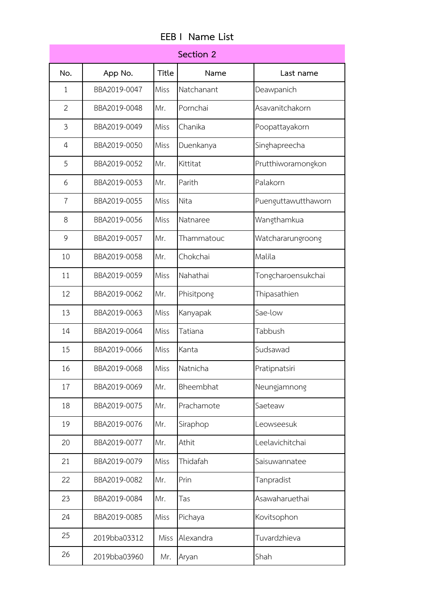| <b>EEB I Name List</b> |  |
|------------------------|--|
|                        |  |

| Section 2      |              |              |            |                     |  |
|----------------|--------------|--------------|------------|---------------------|--|
| No.            | App No.      | <b>Title</b> | Name       | Last name           |  |
| $\mathbf{1}$   | BBA2019-0047 | Miss         | Natchanant | Deawpanich          |  |
| $\overline{2}$ | BBA2019-0048 | Mr.          | Pornchai   | Asavanitchakorn     |  |
| 3              | BBA2019-0049 | Miss         | Chanika    | Poopattayakorn      |  |
| $\overline{4}$ | BBA2019-0050 | Miss         | Duenkanya  | Singhapreecha       |  |
| 5              | BBA2019-0052 | Mr.          | Kittitat   | Prutthiworamongkon  |  |
| 6              | BBA2019-0053 | Mr.          | Parith     | Palakorn            |  |
| $\overline{7}$ | BBA2019-0055 | Miss         | Nita       | Puenguttawutthaworn |  |
| 8              | BBA2019-0056 | Miss         | Natnaree   | Wangthamkua         |  |
| 9              | BBA2019-0057 | Mr.          | Thammatouc | Watchararungroong   |  |
| 10             | BBA2019-0058 | Mr.          | Chokchai   | Malila              |  |
| 11             | BBA2019-0059 | Miss         | Nahathai   | Tongcharoensukchai  |  |
| 12             | BBA2019-0062 | Mr.          | Phisitpong | Thipasathien        |  |
| 13             | BBA2019-0063 | Miss         | Kanyapak   | Sae-low             |  |
| 14             | BBA2019-0064 | Miss         | Tatiana    | Tabbush             |  |
| 15             | BBA2019-0066 | Miss         | Kanta      | Sudsawad            |  |
| 16             | BBA2019-0068 | Miss         | Natnicha   | Pratipnatsiri       |  |
| 17             | BBA2019-0069 | Mr.          | Bheembhat  | Neungjamnong        |  |
| 18             | BBA2019-0075 | Mr.          | Prachamote | Saeteaw             |  |
| 19             | BBA2019-0076 | Mr.          | Siraphop   | Leowseesuk          |  |
| 20             | BBA2019-0077 | Mr.          | Athit      | Leelavichitchai     |  |
| 21             | BBA2019-0079 | Miss         | Thidafah   | Saisuwannatee       |  |
| 22             | BBA2019-0082 | Mr.          | Prin       | Tanpradist          |  |
| 23             | BBA2019-0084 | Mr.          | Tas        | Asawaharuethai      |  |
| 24             | BBA2019-0085 | Miss         | Pichaya    | Kovitsophon         |  |
| 25             | 2019bba03312 | Miss         | Alexandra  | Tuvardzhieva        |  |
| 26             | 2019bba03960 | Mr.          | Aryan      | Shah                |  |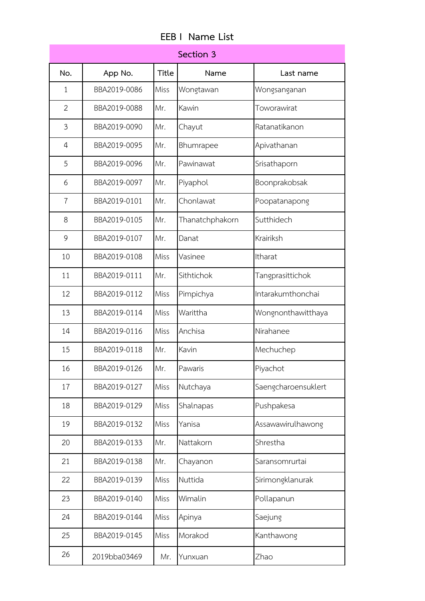|                | Name List<br>FFB I |              |                 |                  |  |  |  |
|----------------|--------------------|--------------|-----------------|------------------|--|--|--|
|                |                    |              | Section 3       |                  |  |  |  |
| No.            | App No.            | <b>Title</b> | Name            | Last name        |  |  |  |
| 1              | BBA2019-0086       | Miss         | Wongtawan       | Wongsanganan     |  |  |  |
| $\overline{2}$ | BBA2019-0088       | Mr.          | Kawin           | Toworawirat      |  |  |  |
| 3              | BBA2019-0090       | Mr.          | Chayut          | Ratanatikanon    |  |  |  |
| $\overline{4}$ | BBA2019-0095       | Mr.          | Bhumrapee       | Apivathanan      |  |  |  |
| 5              | BBA2019-0096       | Mr.          | Pawinawat       | Srisathaporn     |  |  |  |
| 6              | BBA2019-0097       | Mr.          | Piyaphol        | Boonprakobsak    |  |  |  |
| $\overline{7}$ | BBA2019-0101       | Mr.          | Chonlawat       | Poopatanapong    |  |  |  |
| 8              | BBA2019-0105       | Mr.          | Thanatchphakorn | Sutthidech       |  |  |  |
| 9              | BBA2019-0107       | Mr.          | Danat           | Krairiksh        |  |  |  |
| 10             | BBA2019-0108       | Miss         | Vasinee         | Itharat          |  |  |  |
| 11             | BBA2019-0111       | Mr.          | Sithtichok      | Tangprasittichok |  |  |  |
| 12             | BBA2019-0112       | Miss         | Pimpichya       | Intarakumthoncha |  |  |  |
| 13             | BBA2019-0114       | Miss         | Warittha        | Wongnonthawittha |  |  |  |
| 14             | BBA2019-0116       | Miss         | Anchisa         | Nirahanee        |  |  |  |
| 15             | BBA2019-0118       | Mr.          | Kavin           | Mechuchep        |  |  |  |
| 16             | BBA2019-0126       | Mr.          | Pawaris         | Piyachot         |  |  |  |

| C              | BBAZU19-0096 | IVII. | Pawinawat       | Srisatnaporn        |
|----------------|--------------|-------|-----------------|---------------------|
| 6              | BBA2019-0097 | Mr.   | Piyaphol        | Boonprakobsak       |
| $\overline{7}$ | BBA2019-0101 | Mr.   | Chonlawat       | Poopatanapong       |
| 8              | BBA2019-0105 | Mr.   | Thanatchphakorn | Sutthidech          |
| 9              | BBA2019-0107 | Mr.   | Danat           | Krairiksh           |
| 10             | BBA2019-0108 | Miss  | Vasinee         | Itharat             |
| 11             | BBA2019-0111 | Mr.   | Sithtichok      | Tangprasittichok    |
| 12             | BBA2019-0112 | Miss  | Pimpichya       | Intarakumthonchai   |
| 13             | BBA2019-0114 | Miss  | Warittha        | Wongnonthawitthaya  |
| 14             | BBA2019-0116 | Miss  | Anchisa         | Nirahanee           |
| 15             | BBA2019-0118 | Mr.   | Kavin           | Mechuchep           |
| 16             | BBA2019-0126 | Mr.   | Pawaris         | Piyachot            |
| 17             | BBA2019-0127 | Miss  | Nutchaya        | Saengcharoensuklert |
| 18             | BBA2019-0129 | Miss  | Shalnapas       | Pushpakesa          |
| 19             | BBA2019-0132 | Miss  | Yanisa          | Assawawirulhawong   |
| 20             | BBA2019-0133 | Mr.   | Nattakorn       | Shrestha            |
| 21             | BBA2019-0138 | Mr.   | Chayanon        | Saransomrurtai      |
| 22             | BBA2019-0139 | Miss  | Nuttida         | Sirimongklanurak    |
| 23             | BBA2019-0140 | Miss  | Wimalin         | Pollapanun          |
| 24             | BBA2019-0144 | Miss  | Apinya          | Saejung             |
| 25             | BBA2019-0145 | Miss  | Morakod         | Kanthawong          |
| 26             | 2019bba03469 | Mr.   | Yunxuan         | Zhao                |
|                |              |       |                 |                     |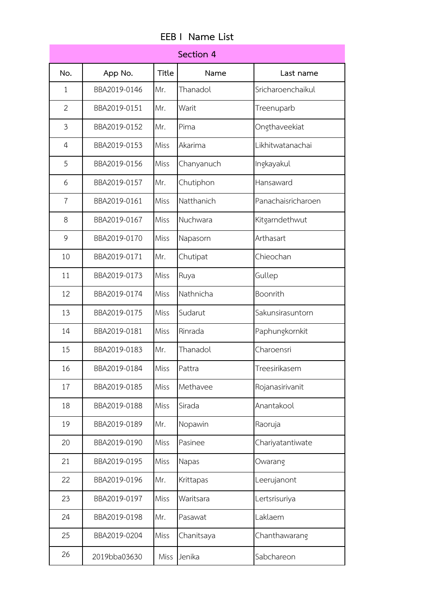| Section 4      |              |              |            |                    |  |
|----------------|--------------|--------------|------------|--------------------|--|
| No.            | App No.      | <b>Title</b> | Name       | Last name          |  |
| $\mathbf{1}$   | BBA2019-0146 | Mr.          | Thanadol   | Sricharoenchaikul  |  |
| $\overline{2}$ | BBA2019-0151 | Mr.          | Warit      | Treenuparb         |  |
| 3              | BBA2019-0152 | Mr.          | Pima       | Ongthaveekiat      |  |
| 4              | BBA2019-0153 | Miss         | Akarima    | Likhitwatanachai   |  |
| 5              | BBA2019-0156 | Miss         | Chanyanuch | Ingkayakul         |  |
| 6              | BBA2019-0157 | Mr.          | Chutiphon  | Hansaward          |  |
| 7              | BBA2019-0161 | Miss         | Natthanich | Panachaisricharoen |  |
| 8              | BBA2019-0167 | Miss         | Nuchwara   | Kitgarndethwut     |  |
| 9              | BBA2019-0170 | Miss         | Napasorn   | Arthasart          |  |
| 10             | BBA2019-0171 | Mr.          | Chutipat   | Chieochan          |  |
| 11             | BBA2019-0173 | Miss         | Ruya       | Gullep             |  |
| 12             | BBA2019-0174 | Miss         | Nathnicha  | Boonrith           |  |
| 13             | BBA2019-0175 | Miss         | Sudarut    | Sakunsirasuntorn   |  |
| 14             | BBA2019-0181 | <b>Miss</b>  | Rinrada    | Paphungkornkit     |  |
| 15             | BBA2019-0183 | Mr.          | Thanadol   | Charoensri         |  |
| 16             | BBA2019-0184 | Miss         | Pattra     | Treesirikasem      |  |
| 17             | BBA2019-0185 | Miss         | Methavee   | Rojanasirivanit    |  |
| 18             | BBA2019-0188 | Miss         | Sirada     | Anantakool         |  |
| 19             | BBA2019-0189 | Mr.          | Nopawin    | Raoruja            |  |
| 20             | BBA2019-0190 | Miss         | Pasinee    | Chariyatantiwate   |  |
| 21             | BBA2019-0195 | Miss         | Napas      | Owarang            |  |
| 22             | BBA2019-0196 | Mr.          | Krittapas  | Leerujanont        |  |
| 23             | BBA2019-0197 | Miss         | Waritsara  | Lertsrisuriya      |  |
| 24             | BBA2019-0198 | Mr.          | Pasawat    | Laklaem            |  |
| 25             | BBA2019-0204 | Miss         | Chanitsaya | Chanthawarang      |  |
| 26             | 2019bba03630 | Miss         | Jenika     | Sabchareon         |  |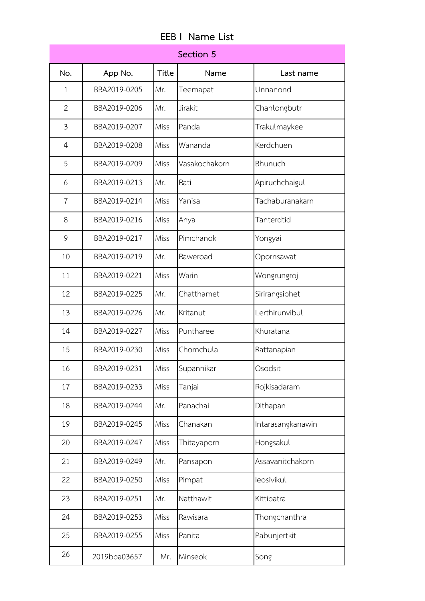| Section 5      |              |              |               |                   |  |
|----------------|--------------|--------------|---------------|-------------------|--|
| No.            | App No.      | <b>Title</b> | Name          | Last name         |  |
| 1              | BBA2019-0205 | Mr.          | Teemapat      | Unnanond          |  |
| $\overline{2}$ | BBA2019-0206 | Mr.          | Jirakit       | Chanlongbutr      |  |
| 3              | BBA2019-0207 | <b>Miss</b>  | Panda         | Trakulmaykee      |  |
| 4              | BBA2019-0208 | Miss         | Wananda       | Kerdchuen         |  |
| 5              | BBA2019-0209 | Miss         | Vasakochakorn | Bhunuch           |  |
| 6              | BBA2019-0213 | Mr.          | Rati          | Apiruchchaigul    |  |
| $\overline{7}$ | BBA2019-0214 | Miss         | Yanisa        | Tachaburanakarn   |  |
| 8              | BBA2019-0216 | Miss         | Anya          | Tanterdtid        |  |
| 9              | BBA2019-0217 | Miss         | Pimchanok     | Yongyai           |  |
| 10             | BBA2019-0219 | Mr.          | Raweroad      | Opornsawat        |  |
| 11             | BBA2019-0221 | Miss         | Warin         | Wongrungroj       |  |
| 12             | BBA2019-0225 | Mr.          | Chatthamet    | Sirirangsiphet    |  |
| 13             | BBA2019-0226 | Mr.          | Kritanut      | Lerthirunvibul    |  |
| 14             | BBA2019-0227 | Miss         | Puntharee     | Khuratana         |  |
| 15             | BBA2019-0230 | Miss         | Chomchula     | Rattanapian       |  |
| 16             | BBA2019-0231 | Miss         | Supannikar    | Osodsit           |  |
| 17             | BBA2019-0233 | Miss         | Tanjai        | Rojkisadaram      |  |
| 18             | BBA2019-0244 | Mr.          | Panachai      | Dithapan          |  |
| 19             | BBA2019-0245 | Miss         | Chanakan      | Intarasangkanawin |  |
| 20             | BBA2019-0247 | Miss         | Thitayaporn   | Hongsakul         |  |
| 21             | BBA2019-0249 | Mr.          | Pansapon      | Assavanitchakorn  |  |
| 22             | BBA2019-0250 | Miss         | Pimpat        | leosivikul        |  |
| 23             | BBA2019-0251 | Mr.          | Natthawit     | Kittipatra        |  |
| 24             | BBA2019-0253 | Miss         | Rawisara      | Thongchanthra     |  |
| 25             | BBA2019-0255 | Miss         | Panita        | Pabunjertkit      |  |
| 26             | 2019bba03657 | Mr.          | Minseok       | Song              |  |

## **EEB I Name List**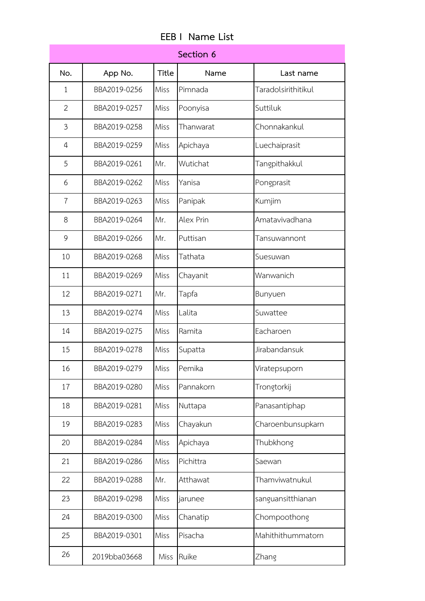| Section 6      |              |              |           |                     |  |
|----------------|--------------|--------------|-----------|---------------------|--|
| No.            | App No.      | <b>Title</b> | Name      | Last name           |  |
| $\mathbf{1}$   | BBA2019-0256 | Miss         | Pimnada   | Taradolsirithitikul |  |
| $\overline{2}$ | BBA2019-0257 | Miss         | Poonyisa  | Suttiluk            |  |
| 3              | BBA2019-0258 | Miss         | Thanwarat | Chonnakankul        |  |
| $\overline{4}$ | BBA2019-0259 | Miss         | Apichaya  | Luechaiprasit       |  |
| 5              | BBA2019-0261 | Mr.          | Wutichat  | Tangpithakkul       |  |
| 6              | BBA2019-0262 | Miss         | Yanisa    | Pongprasit          |  |
| $\overline{7}$ | BBA2019-0263 | Miss         | Panipak   | Kumjim              |  |
| 8              | BBA2019-0264 | Mr.          | Alex Prin | Amatavivadhana      |  |
| 9              | BBA2019-0266 | Mr.          | Puttisan  | Tansuwannont        |  |
| 10             | BBA2019-0268 | Miss         | Tathata   | Suesuwan            |  |
| 11             | BBA2019-0269 | Miss         | Chayanit  | Wanwanich           |  |
| 12             | BBA2019-0271 | Mr.          | Tapfa     | Bunyuen             |  |
| 13             | BBA2019-0274 | Miss         | Lalita    | Suwattee            |  |
| 14             | BBA2019-0275 | Miss         | Ramita    | Eacharoen           |  |
| 15             | BBA2019-0278 | Miss         | Supatta   | Jirabandansuk       |  |
| 16             | BBA2019-0279 | Miss         | Pemika    | Viratepsuporn       |  |
| 17             | BBA2019-0280 | Miss         | Pannakorn | Trongtorkij         |  |
| 18             | BBA2019-0281 | Miss         | Nuttapa   | Panasantiphap       |  |
| 19             | BBA2019-0283 | Miss         | Chayakun  | Charoenbunsupkarn   |  |
| 20             | BBA2019-0284 | Miss         | Apichaya  | Thubkhong           |  |
| 21             | BBA2019-0286 | Miss         | Pichittra | Saewan              |  |
| 22             | BBA2019-0288 | Mr.          | Atthawat  | Thamviwatnukul      |  |
| 23             | BBA2019-0298 | Miss         | jarunee   | sanguansitthianan   |  |
| 24             | BBA2019-0300 | Miss         | Chanatip  | Chompoothong        |  |
| 25             | BBA2019-0301 | Miss         | Pisacha   | Mahithithummatorn   |  |
| 26             | 2019bba03668 | Miss         | Ruike     | Zhang               |  |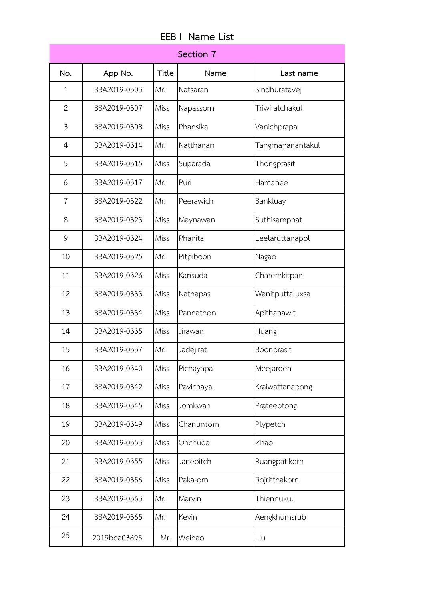| <b>EEB I Name List</b> |  |
|------------------------|--|
|------------------------|--|

|                |              |              | Section 7  |                  |
|----------------|--------------|--------------|------------|------------------|
| No.            | App No.      | <b>Title</b> | Name       | Last name        |
| $\mathbf{1}$   | BBA2019-0303 | Mr.          | Natsaran   | Sindhuratavej    |
| $\overline{2}$ | BBA2019-0307 | Miss         | Napassorn  | Triwiratchakul   |
| 3              | BBA2019-0308 | Miss         | Phansika   | Vanichprapa      |
| 4              | BBA2019-0314 | Mr.          | Natthanan  | Tangmananantakul |
| 5              | BBA2019-0315 | Miss         | Suparada   | Thongprasit      |
| 6              | BBA2019-0317 | Mr.          | Puri       | Hamanee          |
| $\overline{7}$ | BBA2019-0322 | Mr.          | Peerawich  | Bankluay         |
| 8              | BBA2019-0323 | Miss         | Maynawan   | Suthisamphat     |
| 9              | BBA2019-0324 | Miss         | Phanita    | Leelaruttanapol  |
| 10             | BBA2019-0325 | Mr.          | Pitpiboon  | Nagao            |
| 11             | BBA2019-0326 | Miss         | Kansuda    | Charernkitpan    |
| 12             | BBA2019-0333 | Miss         | Nathapas   | Wanitputtaluxsa  |
| 13             | BBA2019-0334 | Miss         | Pannathon  | Apithanawit      |
| 14             | BBA2019-0335 | Miss         | Jirawan    | Huang            |
| 15             | BBA2019-0337 | Mr.          | Jadejirat  | Boonprasit       |
| 16             | BBA2019-0340 | Miss         | Pichayapa  | Meejaroen        |
| 17             | BBA2019-0342 | Miss         | Pavichaya  | Kraiwattanapong  |
| 18             | BBA2019-0345 | Miss         | Jomkwan    | Prateeptong      |
| 19             | BBA2019-0349 | Miss         | Chanuntorn | Plypetch         |
| 20             | BBA2019-0353 | Miss         | Onchuda    | Zhao             |
| 21             | BBA2019-0355 | Miss         | Janepitch  | Ruangpatikorn    |
| 22             | BBA2019-0356 | Miss         | Paka-orn   | Rojritthakorn    |
| 23             | BBA2019-0363 | Mr.          | Marvin     | Thiennukul       |
| 24             | BBA2019-0365 | Mr.          | Kevin      | Aengkhumsrub     |
| 25             | 2019bba03695 | Mr.          | Weihao     | Liu              |